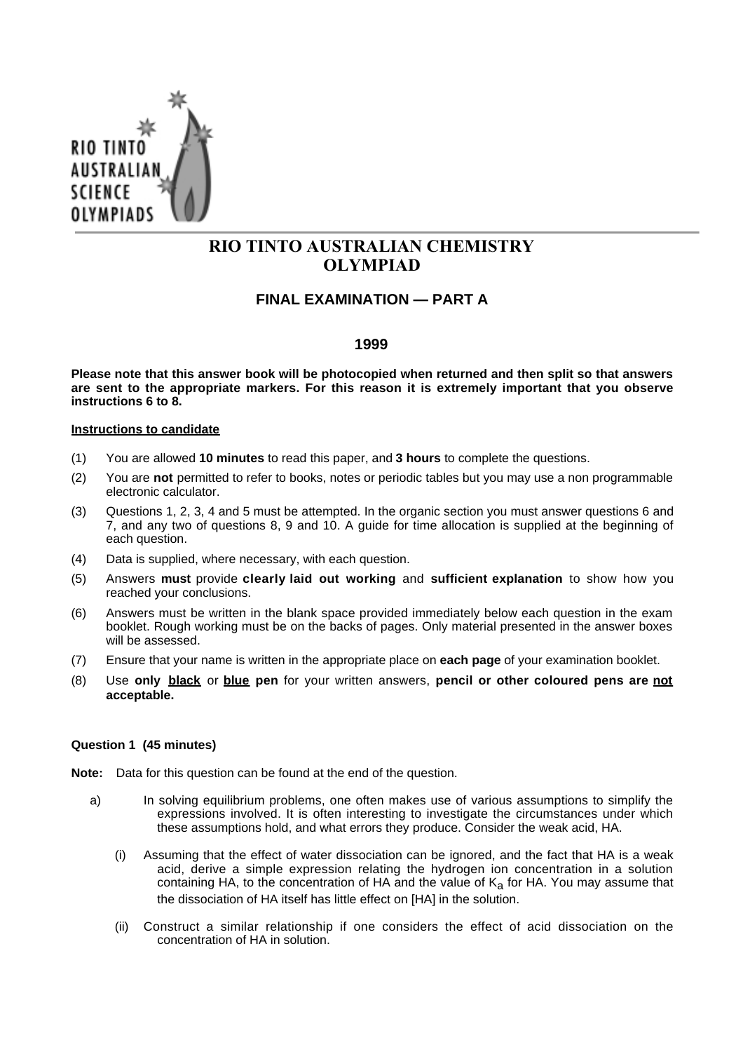

# **RIO TINTO AUSTRALIAN CHEMISTRY OLYMPIAD**

# **FINAL EXAMINATION — PART A**

## **1999**

**Please note that this answer book will be photocopied when returned and then split so that answers are sent to the appropriate markers. For this reason it is extremely important that you observe instructions 6 to 8.**

#### **Instructions to candidate**

- (1) You are allowed **10 minutes** to read this paper, and **3 hours** to complete the questions.
- (2) You are **not** permitted to refer to books, notes or periodic tables but you may use a non programmable electronic calculator.
- (3) Questions 1, 2, 3, 4 and 5 must be attempted. In the organic section you must answer questions 6 and 7, and any two of questions 8, 9 and 10. A guide for time allocation is supplied at the beginning of each question.
- (4) Data is supplied, where necessary, with each question.
- (5) Answers **must** provide **clearly laid out working** and **sufficient explanation** to show how you reached your conclusions.
- (6) Answers must be written in the blank space provided immediately below each question in the exam booklet. Rough working must be on the backs of pages. Only material presented in the answer boxes will be assessed.
- (7) Ensure that your name is written in the appropriate place on **each page** of your examination booklet.
- (8) Use **only black** or **blue pen** for your written answers, **pencil or other coloured pens are not acceptable.**

### **Question 1 (45 minutes)**

**Note:** Data for this question can be found at the end of the question.

- a) In solving equilibrium problems, one often makes use of various assumptions to simplify the expressions involved. It is often interesting to investigate the circumstances under which these assumptions hold, and what errors they produce. Consider the weak acid, HA.
	- (i) Assuming that the effect of water dissociation can be ignored, and the fact that HA is a weak acid, derive a simple expression relating the hydrogen ion concentration in a solution containing HA, to the concentration of HA and the value of  $K<sub>a</sub>$  for HA. You may assume that the dissociation of HA itself has little effect on [HA] in the solution.
	- (ii) Construct a similar relationship if one considers the effect of acid dissociation on the concentration of HA in solution.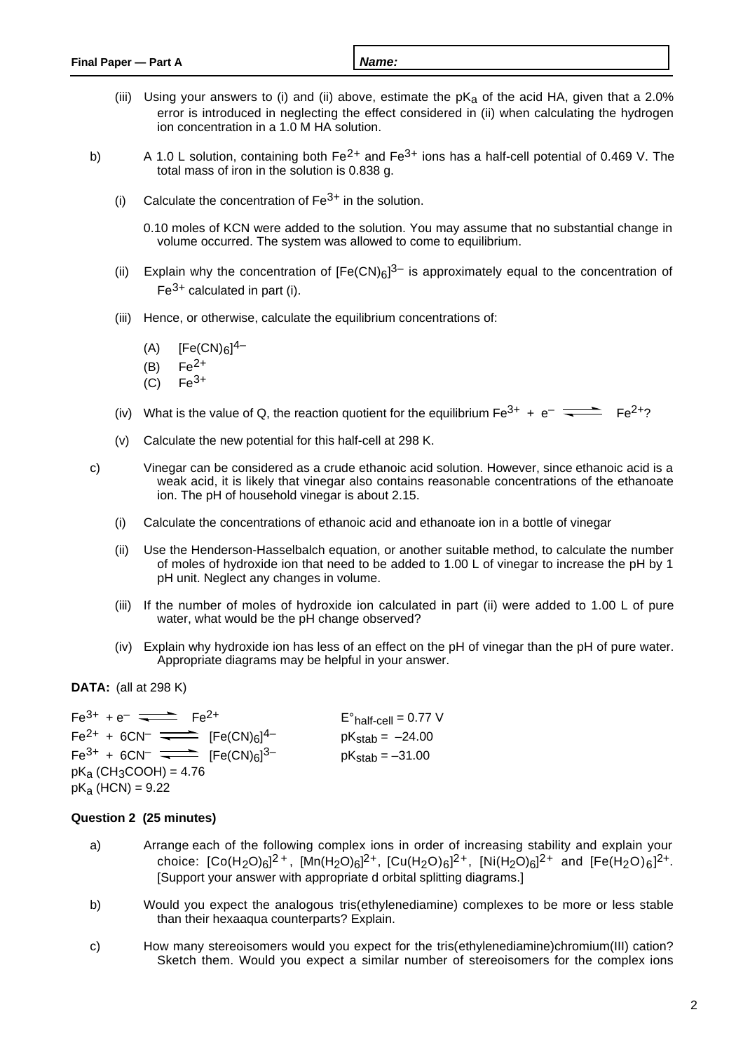- (iii) Using your answers to (i) and (ii) above, estimate the  $pK_a$  of the acid HA, given that a 2.0% error is introduced in neglecting the effect considered in (ii) when calculating the hydrogen ion concentration in a 1.0 M HA solution.
- b) A 1.0 L solution, containing both  $Fe^{2+}$  and  $Fe^{3+}$  ions has a half-cell potential of 0.469 V. The total mass of iron in the solution is 0.838 g.
	- (i) Calculate the concentration of  $Fe<sup>3+</sup>$  in the solution.
		- 0.10 moles of KCN were added to the solution. You may assume that no substantial change in volume occurred. The system was allowed to come to equilibrium.
	- (ii) Explain why the concentration of  $[Fe(CN)_{6}]^{3-}$  is approximately equal to the concentration of  $Fe<sup>3+</sup>$  calculated in part (i).
	- (iii) Hence, or otherwise, calculate the equilibrium concentrations of:
		- (A)  $[Fe(CN)_{6}]^{4-}$
		- $(B)$   $Fe^{2+}$
		- $(C)$   $Fe^{3+}$
	- (iv) What is the value of Q, the reaction quotient for the equilibrium  $Fe^{3+} + e^- \implies Fe^{2+}$ ?
	- (v) Calculate the new potential for this half-cell at 298 K.
- c) Vinegar can be considered as a crude ethanoic acid solution. However, since ethanoic acid is a weak acid, it is likely that vinegar also contains reasonable concentrations of the ethanoate ion. The pH of household vinegar is about 2.15.
	- (i) Calculate the concentrations of ethanoic acid and ethanoate ion in a bottle of vinegar
	- (ii) Use the Henderson-Hasselbalch equation, or another suitable method, to calculate the number of moles of hydroxide ion that need to be added to 1.00 L of vinegar to increase the pH by 1 pH unit. Neglect any changes in volume.
	- (iii) If the number of moles of hydroxide ion calculated in part (ii) were added to 1.00 L of pure water, what would be the pH change observed?
	- (iv) Explain why hydroxide ion has less of an effect on the pH of vinegar than the pH of pure water. Appropriate diagrams may be helpful in your answer.

**DATA:** (all at 298 K)

 $Fe^{3+} + e^{-}$   $\overline{\phantom{1}}$   $Fe^{2+}$   $Fe^{2+}$   $Fe'$   $Fe'$   $Fe'$  $Fe<sup>2+</sup> + 6CN^ \longrightarrow$   $[Fe(CN)<sub>6</sub>]<sup>4</sup>$  $pK_{\text{stab}} = -24.00$  $Fe^{3+}$  + 6CN<sup>-</sup>  $\overline{\phantom{...}}$  [Fe(CN)<sub>6</sub>]<sup>3-</sup>  $pK_{\text{stab}} = -31.00$  $pK_a$  (CH<sub>3</sub>COOH) = 4.76  $pK_a$  (HCN) = 9.22

# **Question 2 (25 minutes)**

- a) Arrange each of the following complex ions in order of increasing stability and explain your choice: [Co(H<sub>2</sub>O)<sub>6</sub>]<sup>2+</sup>, [Mn(H<sub>2</sub>O)<sub>6</sub>]<sup>2+</sup>, [Cu(H<sub>2</sub>O)<sub>6</sub>]<sup>2+</sup>, [Ni(H<sub>2</sub>O)<sub>6</sub>]<sup>2+</sup> and [Fe(H<sub>2</sub>O)<sub>6</sub>]<sup>2+</sup>. [Support your answer with appropriate d orbital splitting diagrams.]
- b) Would you expect the analogous tris(ethylenediamine) complexes to be more or less stable than their hexaaqua counterparts? Explain.
- c) How many stereoisomers would you expect for the tris(ethylenediamine)chromium(III) cation? Sketch them. Would you expect a similar number of stereoisomers for the complex ions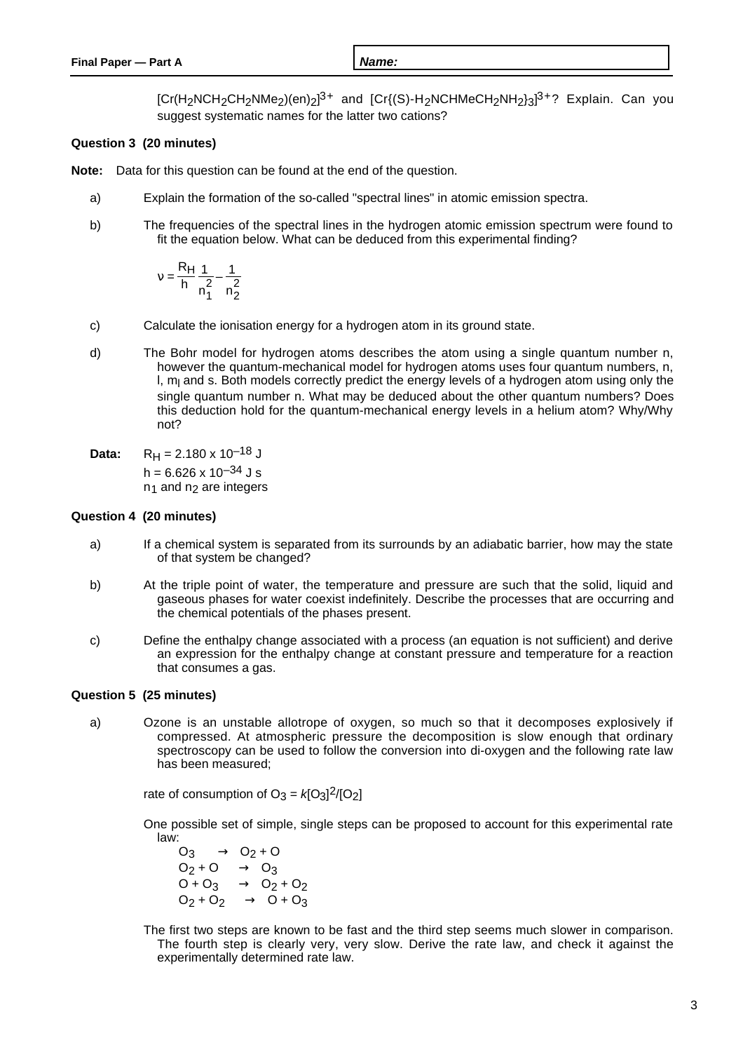[Cr(H<sub>2</sub>NCH<sub>2</sub>CH<sub>2</sub>NMe<sub>2</sub>)(en)<sub>2</sub>]<sup>3+</sup> and [Cr{(S)-H<sub>2</sub>NCHMeCH<sub>2</sub>NH<sub>2</sub>}3]<sup>3+</sup>? Explain. Can you suggest systematic names for the latter two cations?

## **Question 3 (20 minutes)**

**Note:** Data for this question can be found at the end of the question.

- a) Explain the formation of the so-called "spectral lines" in atomic emission spectra.
- b) The frequencies of the spectral lines in the hydrogen atomic emission spectrum were found to fit the equation below. What can be deduced from this experimental finding?

$$
v = \frac{R_H}{h} \left( \frac{1}{n_1^2} - \frac{1}{n_2^2} \right)
$$

- c) Calculate the ionisation energy for a hydrogen atom in its ground state.
- d) The Bohr model for hydrogen atoms describes the atom using a single quantum number n, however the quantum-mechanical model for hydrogen atoms uses four quantum numbers, n, l, m<sub>l</sub> and s. Both models correctly predict the energy levels of a hydrogen atom using only the single quantum number n. What may be deduced about the other quantum numbers? Does this deduction hold for the quantum-mechanical energy levels in a helium atom? Why/Why not?

**Data:**  $R_H = 2.180 \times 10^{-18}$  J  $h = 6.626 \times 10^{-34}$  J s  $n_1$  and  $n_2$  are integers

### **Question 4 (20 minutes)**

- a) If a chemical system is separated from its surrounds by an adiabatic barrier, how may the state of that system be changed?
- b) At the triple point of water, the temperature and pressure are such that the solid, liquid and gaseous phases for water coexist indefinitely. Describe the processes that are occurring and the chemical potentials of the phases present.
- c) Define the enthalpy change associated with a process (an equation is not sufficient) and derive an expression for the enthalpy change at constant pressure and temperature for a reaction that consumes a gas.

## **Question 5 (25 minutes)**

a) Ozone is an unstable allotrope of oxygen, so much so that it decomposes explosively if compressed. At atmospheric pressure the decomposition is slow enough that ordinary spectroscopy can be used to follow the conversion into di-oxygen and the following rate law has been measured;

rate of consumption of  $O_3 = k[O_3]^2/[O_2]$ 

One possible set of simple, single steps can be proposed to account for this experimental rate law:

 $O_3 \longrightarrow O_2 + O$  $O_2$ +O  $\longrightarrow$  O<sub>3</sub>  $O + O_3 \longrightarrow O_2 + O_2$  $O_2 + O_2 \longrightarrow O + O_3$ 

The first two steps are known to be fast and the third step seems much slower in comparison. The fourth step is clearly very, very slow. Derive the rate law, and check it against the experimentally determined rate law.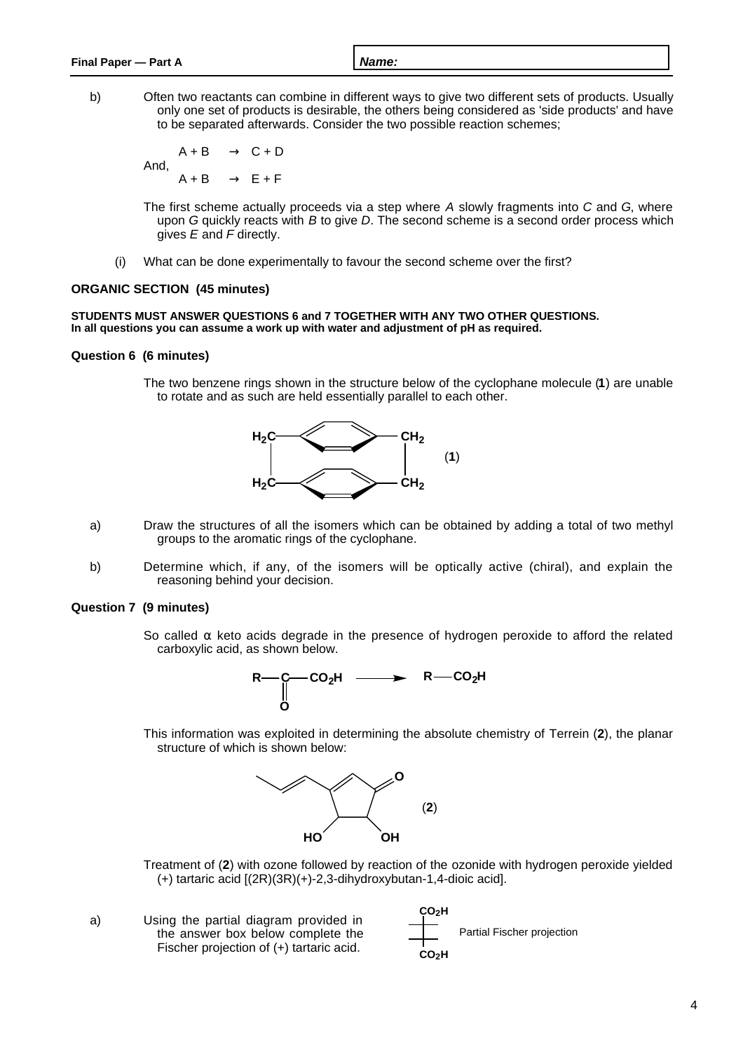b) Often two reactants can combine in different ways to give two different sets of products. Usually only one set of products is desirable, the others being considered as 'side products' and have to be separated afterwards. Consider the two possible reaction schemes;

 $A + B \longrightarrow C + D$ And,  $A + B \longrightarrow E + F$ 

The first scheme actually proceeds via a step where A slowly fragments into C and G, where upon G quickly reacts with B to give D. The second scheme is a second order process which gives  $E$  and  $F$  directly.

(i) What can be done experimentally to favour the second scheme over the first?

#### **ORGANIC SECTION (45 minutes)**

#### **STUDENTS MUST ANSWER QUESTIONS 6 and 7 TOGETHER WITH ANY TWO OTHER QUESTIONS. In all questions you can assume a work up with water and adjustment of pH as required.**

#### **Question 6 (6 minutes)**

The two benzene rings shown in the structure below of the cyclophane molecule (**1**) are unable to rotate and as such are held essentially parallel to each other.



- a) Draw the structures of all the isomers which can be obtained by adding a total of two methyl groups to the aromatic rings of the cyclophane.
- b) Determine which, if any, of the isomers will be optically active (chiral), and explain the reasoning behind your decision.

#### **Question 7 (9 minutes)**

So called  $\alpha$  keto acids degrade in the presence of hydrogen peroxide to afford the related carboxylic acid, as shown below.



This information was exploited in determining the absolute chemistry of Terrein (**2**), the planar structure of which is shown below:



Treatment of (**2**) with ozone followed by reaction of the ozonide with hydrogen peroxide yielded (+) tartaric acid [(2R)(3R)(+)-2,3-dihydroxybutan-1,4-dioic acid].

a) Using the partial diagram provided in the answer box below complete the Fischer projection of (+) tartaric acid. **CO2H CO2H** Partial Fischer projection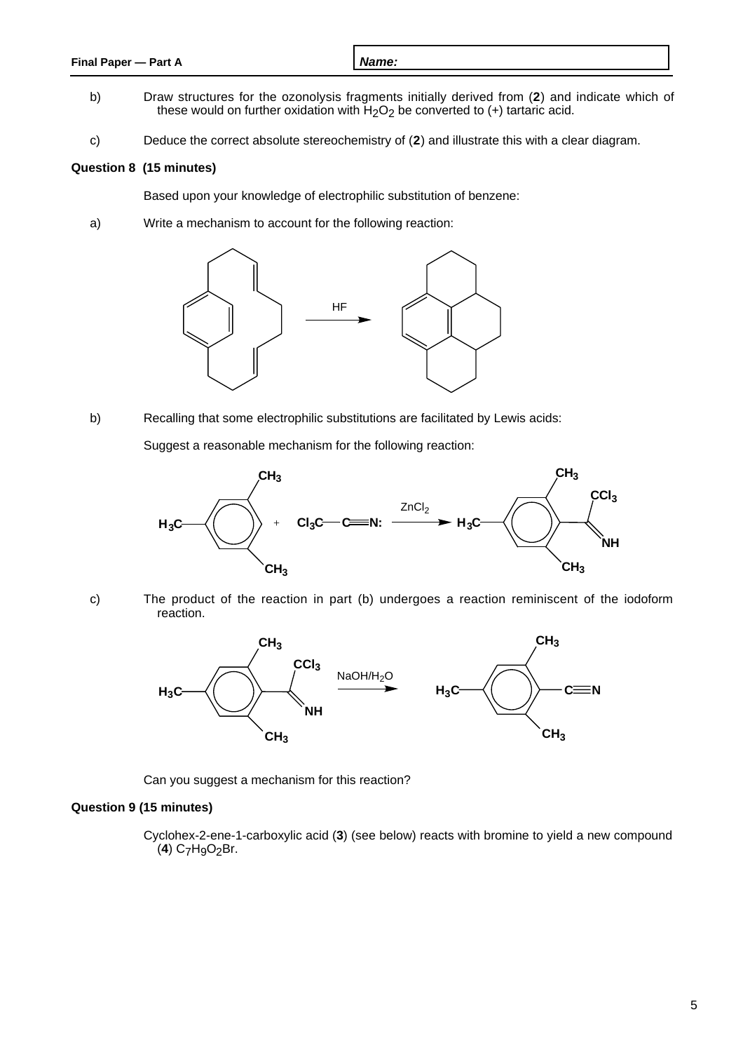| Final Paper - Part A | Name: |
|----------------------|-------|
|                      |       |

- b) Draw structures for the ozonolysis fragments initially derived from (**2**) and indicate which of these would on further oxidation with  $H_2O_2$  be converted to (+) tartaric acid.
- c) Deduce the correct absolute stereochemistry of (**2**) and illustrate this with a clear diagram.

# **Question 8 (15 minutes)**

Based upon your knowledge of electrophilic substitution of benzene:

a) Write a mechanism to account for the following reaction:



b) Recalling that some electrophilic substitutions are facilitated by Lewis acids:

Suggest a reasonable mechanism for the following reaction:



- 
- c) The product of the reaction in part (b) undergoes a reaction reminiscent of the iodoform reaction.



Can you suggest a mechanism for this reaction?

# **Question 9 (15 minutes)**

Cyclohex-2-ene-1-carboxylic acid (**3**) (see below) reacts with bromine to yield a new compound (**4**) C7H9O2Br.